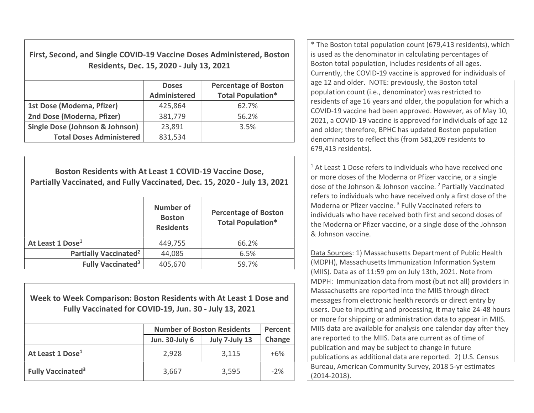First, Second, and Single COVID-19 Vaccine Doses Administered, Boston Residents, Dec. 15, 2020 - July 13, 2021

|                                            | <b>Doses</b><br><b>Administered</b> | <b>Percentage of Boston</b><br><b>Total Population*</b> |
|--------------------------------------------|-------------------------------------|---------------------------------------------------------|
| 1st Dose (Moderna, Pfizer)                 | 425,864                             | 62.7%                                                   |
| 2nd Dose (Moderna, Pfizer)                 | 381,779                             | 56.2%                                                   |
| <b>Single Dose (Johnson &amp; Johnson)</b> | 23,891                              | 3.5%                                                    |
| <b>Total Doses Administered</b>            | 831,534                             |                                                         |

Boston Residents with At Least 1 COVID-19 Vaccine Dose, Partially Vaccinated, and Fully Vaccinated, Dec. 15, 2020 - July 13, 2021 Number of Boston Residents Percentage of Boston Total Population\* At Least 1 Dose<sup>1</sup> 1449.755  $66.2\%$ Partially Vaccinated<sup>2</sup>  $44,085$  6.5% Fully Vaccinated<sup>3</sup>  $405,670$  59.7%

Week to Week Comparison: Boston Residents with At Least 1 Dose and Fully Vaccinated for COVID-19, Jun. 30 - July 13, 2021

|                                     | <b>Number of Boston Residents</b> | Percent        |        |
|-------------------------------------|-----------------------------------|----------------|--------|
|                                     | Jun. 30-July 6                    | July 7-July 13 | Change |
| At Least 1 Dose <sup>1</sup>        | 2,928                             | 3,115          | $+6%$  |
| <b>Fully Vaccinated<sup>3</sup></b> | 3,667                             | 3,595          | $-2%$  |

\* The Boston total population count (679,413 residents), which is used as the denominator in calculating percentages of Boston total population, includes residents of all ages. Currently, the COVID-19 vaccine is approved for individuals of age 12 and older. NOTE: previously, the Boston total population count (i.e., denominator) was restricted to residents of age 16 years and older, the population for which a COVID-19 vaccine had been approved. However, as of May 10, 2021, a COVID-19 vaccine is approved for individuals of age 12 and older; therefore, BPHC has updated Boston population denominators to reflect this (from 581,209 residents to 679,413 residents).

 $1$  At Least 1 Dose refers to individuals who have received one or more doses of the Moderna or Pfizer vaccine, or a single dose of the Johnson & Johnson vaccine. <sup>2</sup> Partially Vaccinated refers to individuals who have received only a first dose of the Moderna or Pfizer vaccine.<sup>3</sup> Fully Vaccinated refers to individuals who have received both first and second doses of the Moderna or Pfizer vaccine, or a single dose of the Johnson & Johnson vaccine.

Data Sources: 1) Massachusetts Department of Public Health (MDPH), Massachusetts Immunization Information System (MIIS). Data as of 11:59 pm on July 13th, 2021. Note from MDPH: Immunization data from most (but not all) providers in Massachusetts are reported into the MIIS through direct messages from electronic health records or direct entry by users. Due to inputting and processing, it may take 24-48 hours or more for shipping or administration data to appear in MIIS. MIIS data are available for analysis one calendar day after they are reported to the MIIS. Data are current as of time of publication and may be subject to change in future publications as additional data are reported. 2) U.S. Census Bureau, American Community Survey, 2018 5-yr estimates (2014-2018).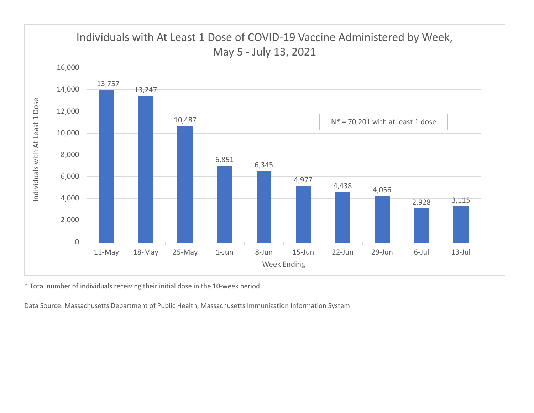

\* Total number of individuals receiving their initial dose in the 10-week period.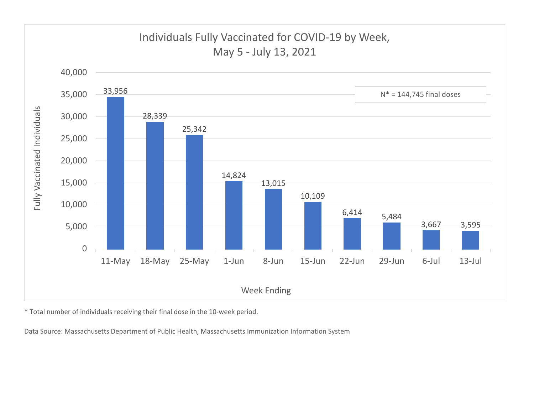

\* Total number of individuals receiving their final dose in the 10-week period.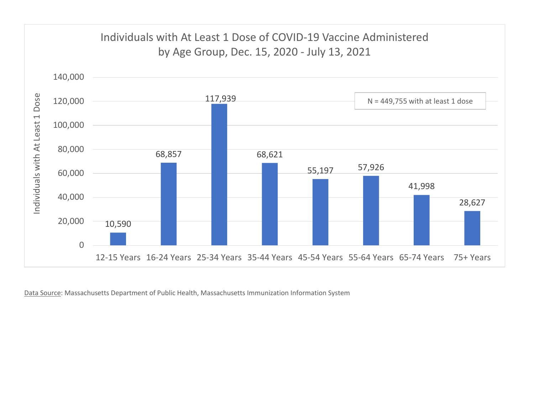

Data Source: Massachusetts Department of Public Health, Massachusetts Immunization Information System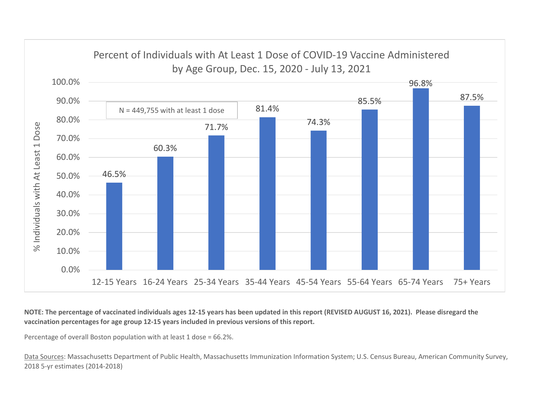

NOTE: The percentage of vaccinated individuals ages 12-15 years has been updated in this report (REVISED AUGUST 16, 2021). Please disregard the vaccination percentages for age group 12-15 years included in previous versions of this report.

Percentage of overall Boston population with at least 1 dose = 66.2%.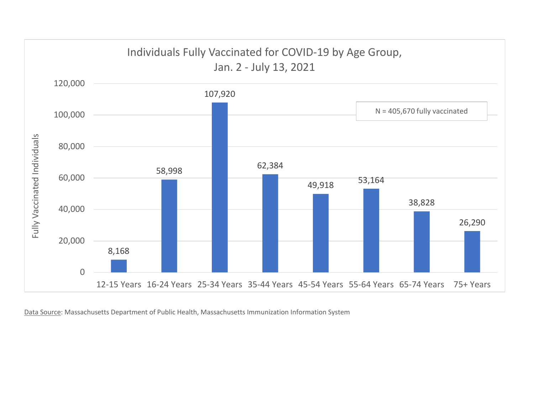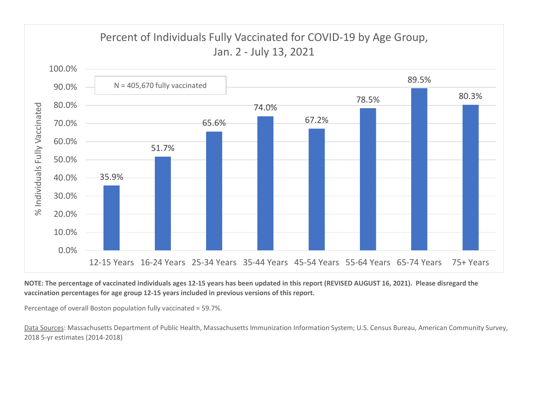

## NOTE: The percentage of vaccinated individuals ages 12-15 years has been updated in this report (REVISED AUGUST 16, 2021). Please disregard the vaccination percentages for age group 12-15 years included in previous versions of this report.

Percentage of overall Boston population fully vaccinated = 59.7%.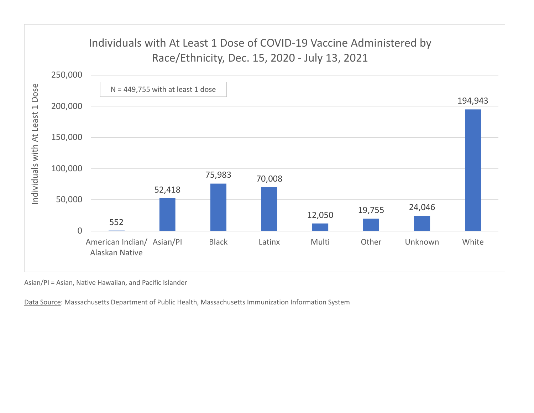

Asian/PI = Asian, Native Hawaiian, and Pacific Islander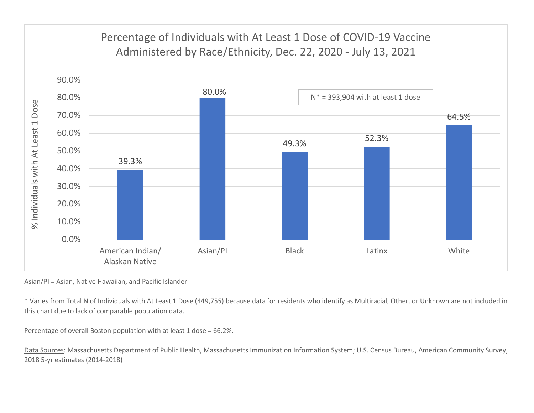

Asian/PI = Asian, Native Hawaiian, and Pacific Islander

\* Varies from Total N of Individuals with At Least 1 Dose (449,755) because data for residents who identify as Multiracial, Other, or Unknown are not included in this chart due to lack of comparable population data.

Percentage of overall Boston population with at least 1 dose = 66.2%.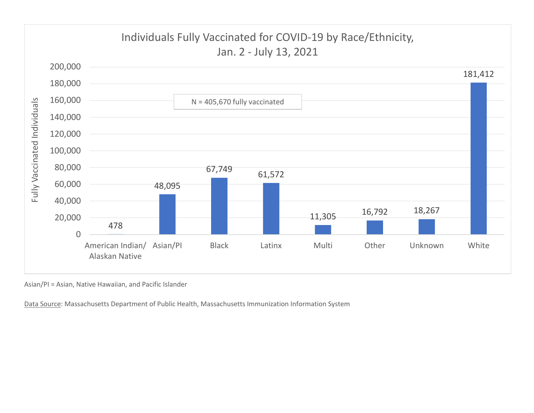

Asian/PI = Asian, Native Hawaiian, and Pacific Islander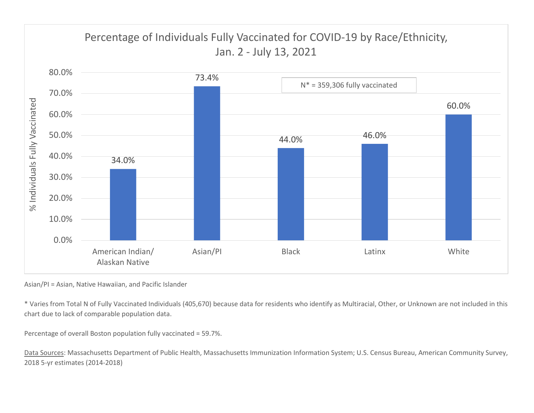

Asian/PI = Asian, Native Hawaiian, and Pacific Islander

\* Varies from Total N of Fully Vaccinated Individuals (405,670) because data for residents who identify as Multiracial, Other, or Unknown are not included in this chart due to lack of comparable population data.

Percentage of overall Boston population fully vaccinated = 59.7%.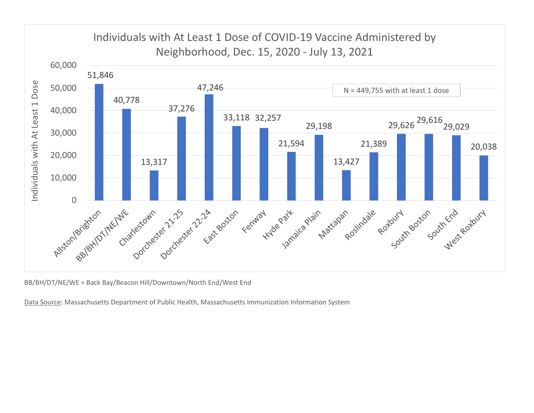

BB/BH/DT/NE/WE = Back Bay/Beacon Hill/Downtown/North End/West End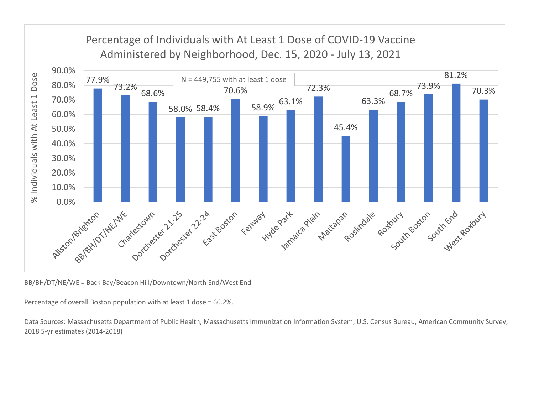

BB/BH/DT/NE/WE = Back Bay/Beacon Hill/Downtown/North End/West End

Percentage of overall Boston population with at least 1 dose = 66.2%.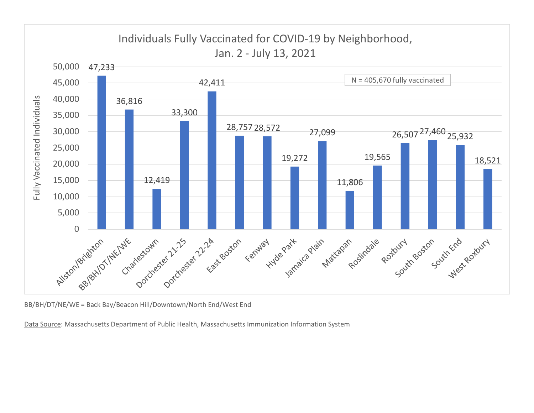

BB/BH/DT/NE/WE = Back Bay/Beacon Hill/Downtown/North End/West End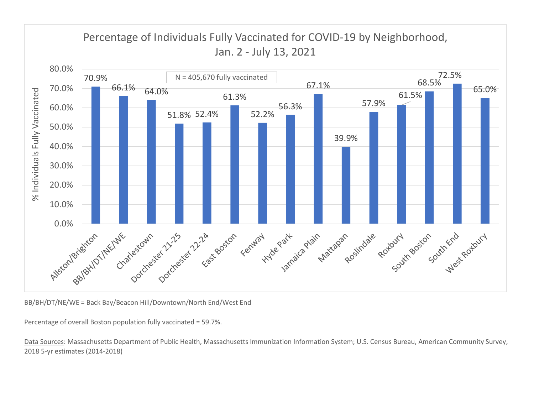

BB/BH/DT/NE/WE = Back Bay/Beacon Hill/Downtown/North End/West End

Percentage of overall Boston population fully vaccinated = 59.7%.